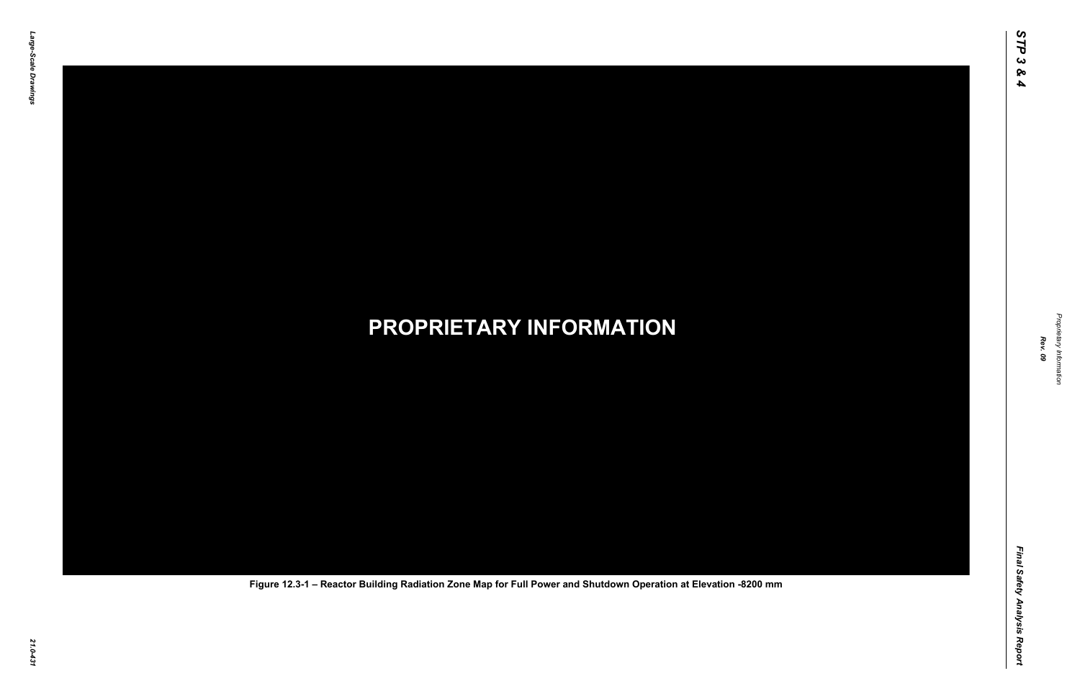*Proprietary Information* ietary Information



## *21.0-431* **PROPRIETARY INFORMATION Figure 12.3-1 – Reactor Building Radiation Zone Map for Full Power and Shutdown Operation at Elevation -8200 mm**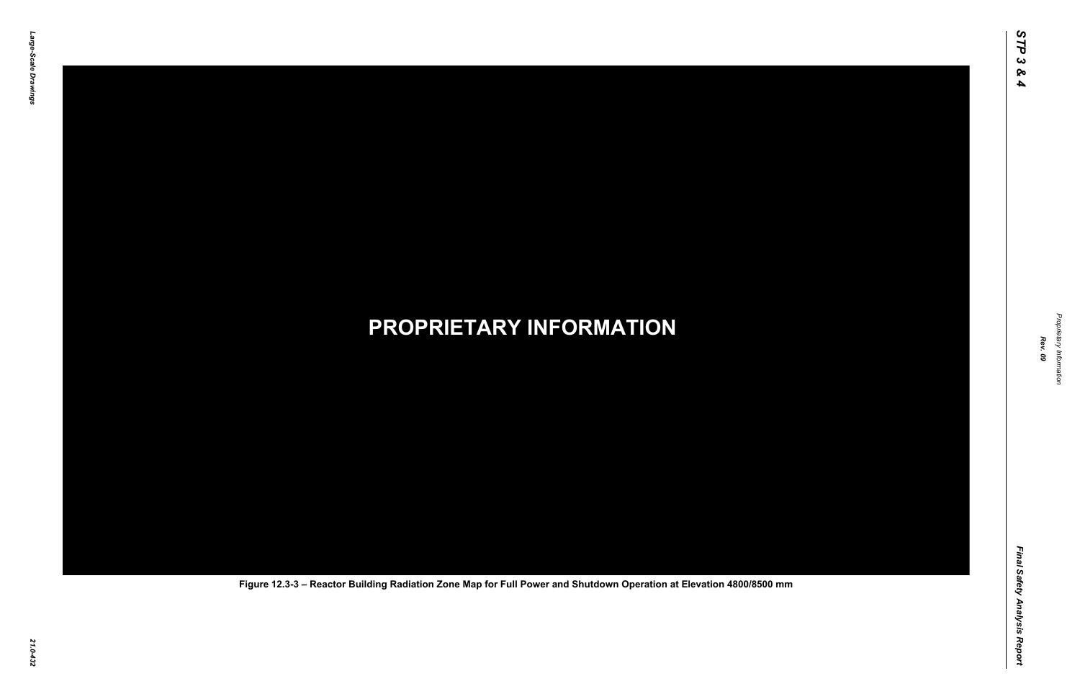*Proprietary Information* ietary Information



*21.0-432* **PROPRIETARY INFORMATION Figure 12.3-3 – Reactor Building Radiation Zone Map for Full Power and Shutdown Operation at Elevation 4800/8500 mm**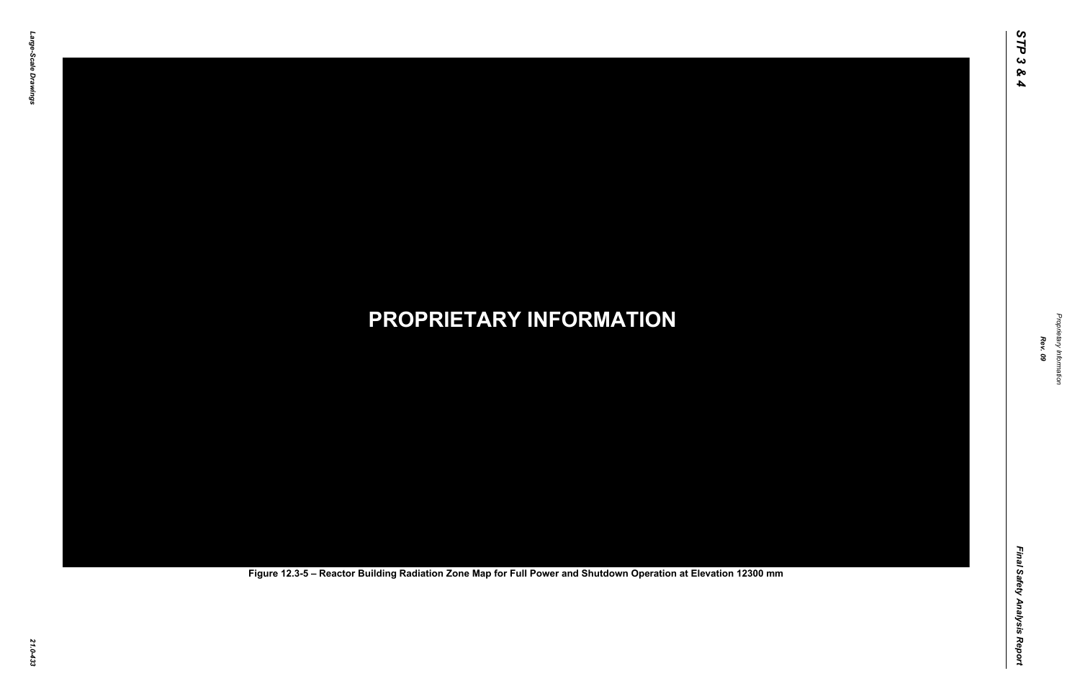Final Safety Analysis Report *Final Safety Analysis Report*



# *21.0-433* **PROPRIETARY INFORMATION Figure 12.3-5 – Reactor Building Radiation Zone Map for Full Power and Shutdown Operation at Elevation 12300 mm**

Propr *Proprietary Information* ietary Information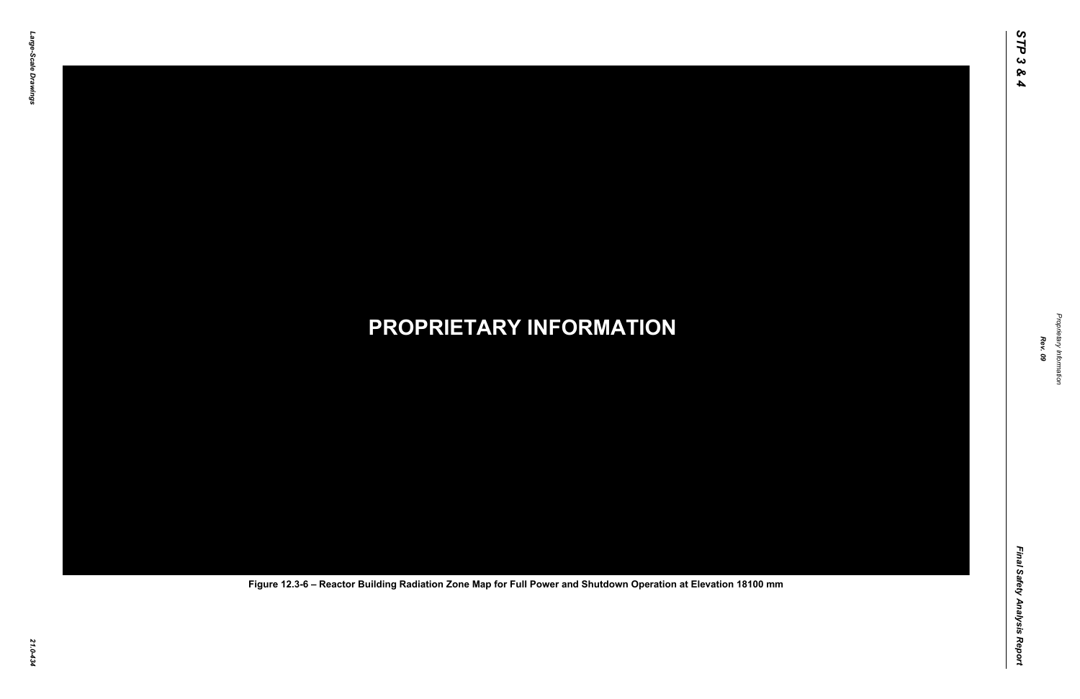*Proprietary Information* ietary Information



## *21.0-434* **PROPRIETARY INFORMATION Figure 12.3-6 – Reactor Building Radiation Zone Map for Full Power and Shutdown Operation at Elevation 18100 mm**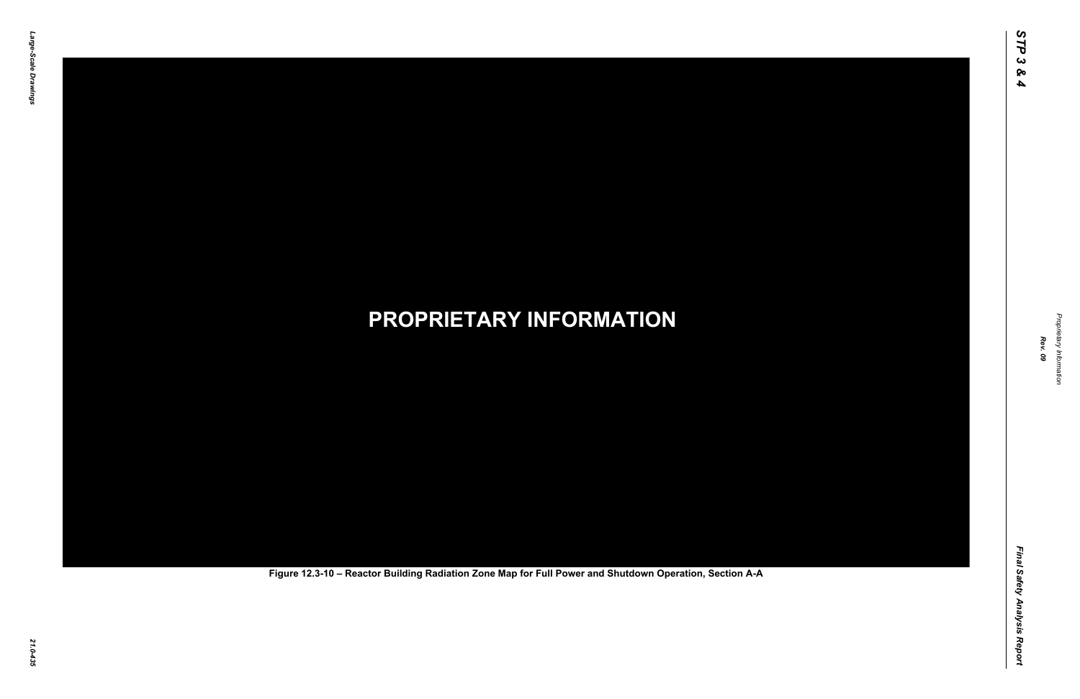Final Safety Analysis Report *Final Safety Analysis Report*



Proprietary Information *Proprietary Information*

# *21.0-435* **PROPRIETARY INFORMATION Figure 12.3-10 – Reactor Building Radiation Zone Map for Full Power and Shutdown Operation, Section A-A**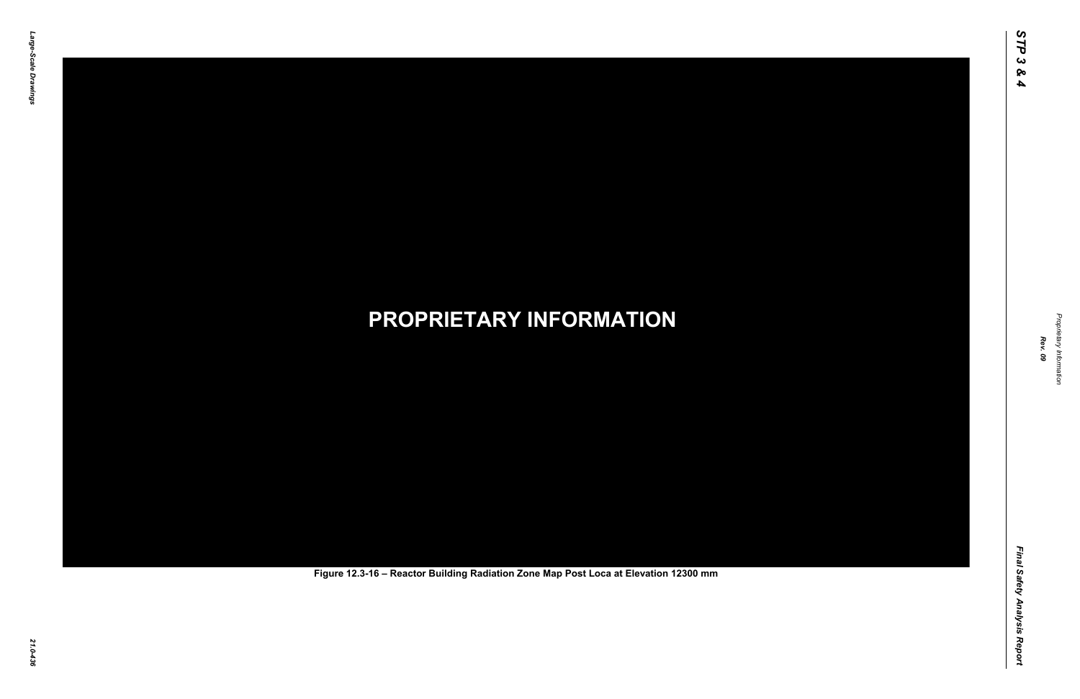Final Safety Analysis Report *Final Safety Analysis Report*



Proprietary Information *Proprietary Information*

# *21.0-436* **PROPRIETARY INFORMATION Figure 12.3-16 – Reactor Building Radiation Zone Map Post Loca at Elevation 12300 mm**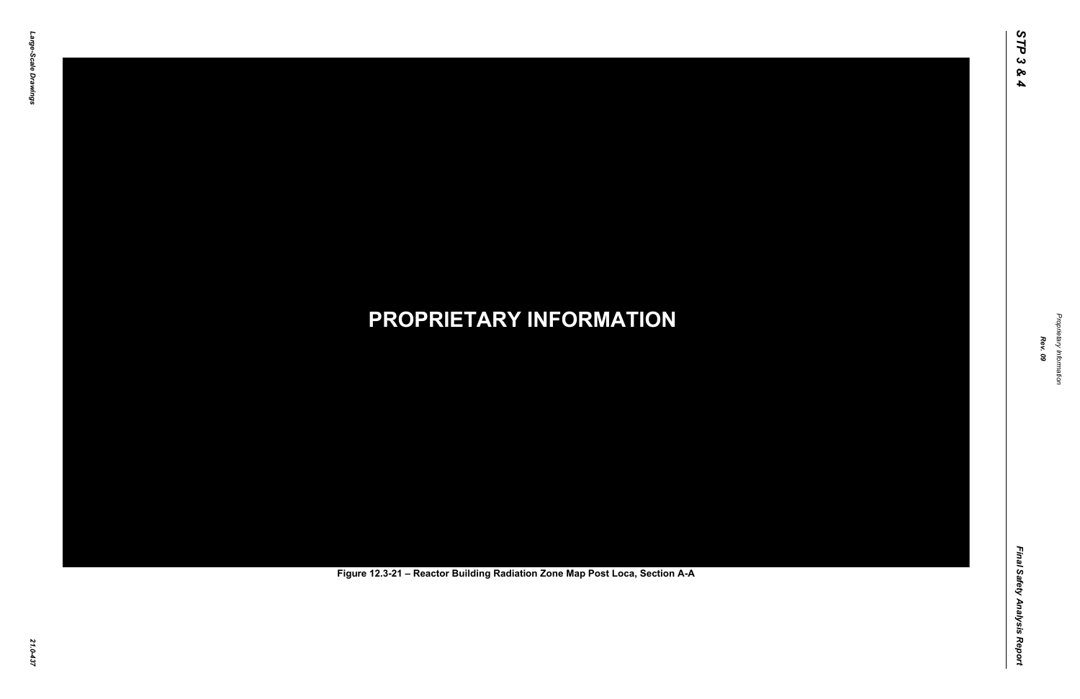Final Safety Analysis Report *Final Safety Analysis Report*



Proprietary Information *Proprietary Information*

# *21.0-437* **PROPRIETARY INFORMATION Figure 12.3-21 – Reactor Building Radiation Zone Map Post Loca, Section A-A**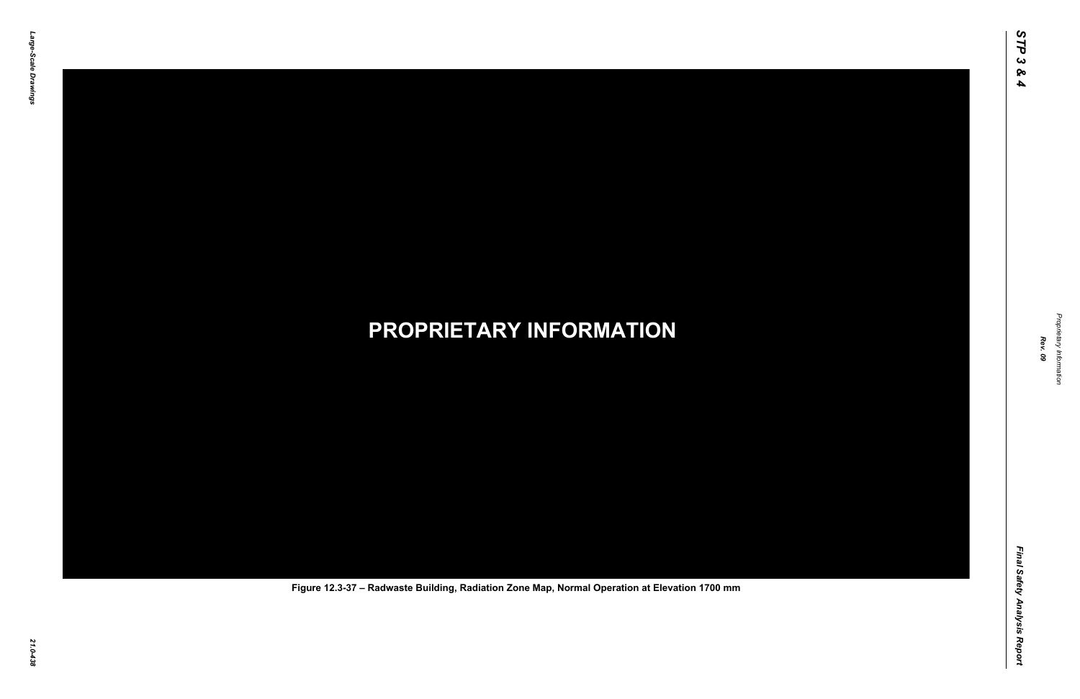

Proprietary Information *Proprietary Information*

## *21.0-438* **PROPRIETARY INFORMATION Figure 12.3-37 – Radwaste Building, Radiation Zone Map, Normal Operation at Elevation 1700 mm**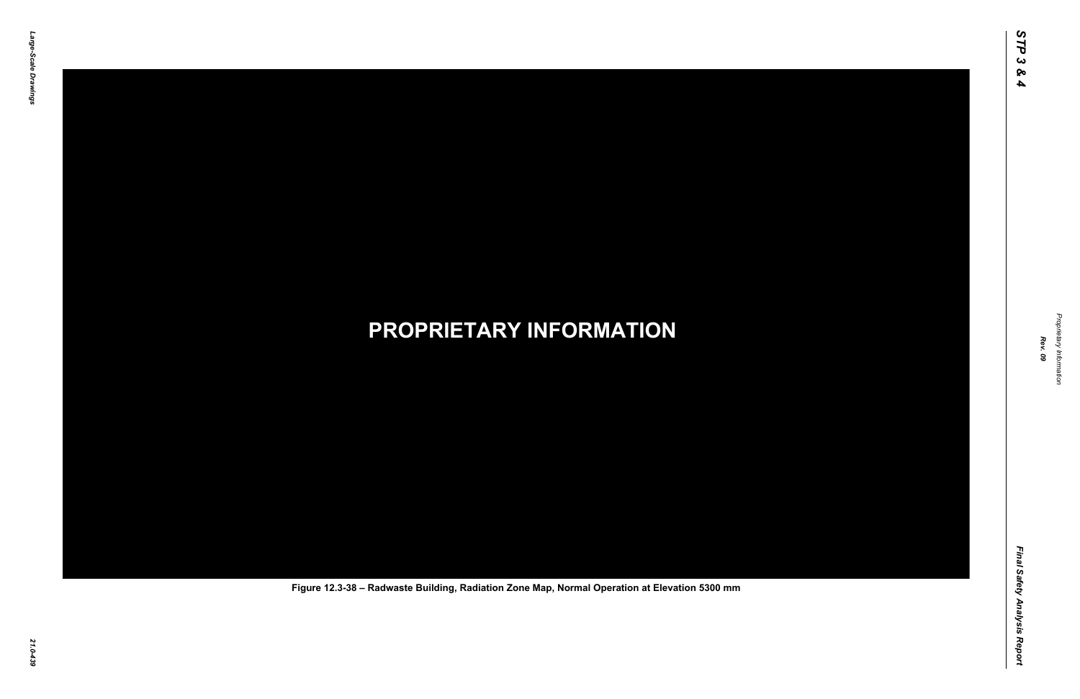

Proprietary Information *Proprietary Information*

## *21.0-439* **PROPRIETARY INFORMATION Figure 12.3-38 – Radwaste Building, Radiation Zone Map, Normal Operation at Elevation 5300 mm**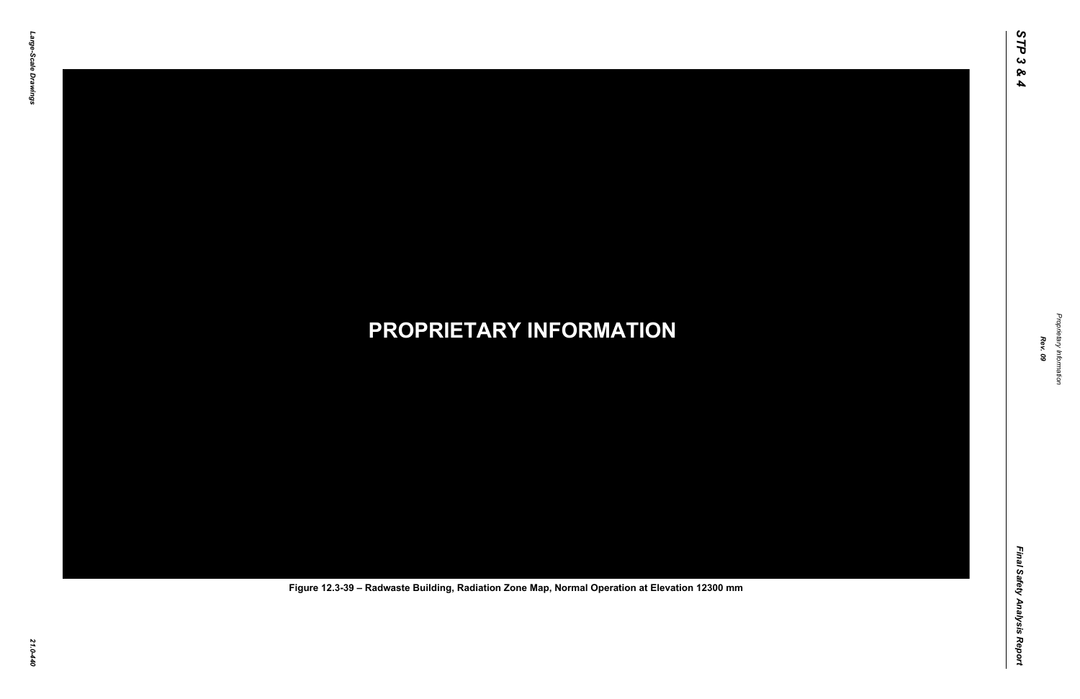

Proprietary Information *Proprietary Information*

## *21.0-440* **PROPRIETARY INFORMATION Figure 12.3-39 – Radwaste Building, Radiation Zone Map, Normal Operation at Elevation 12300 mm**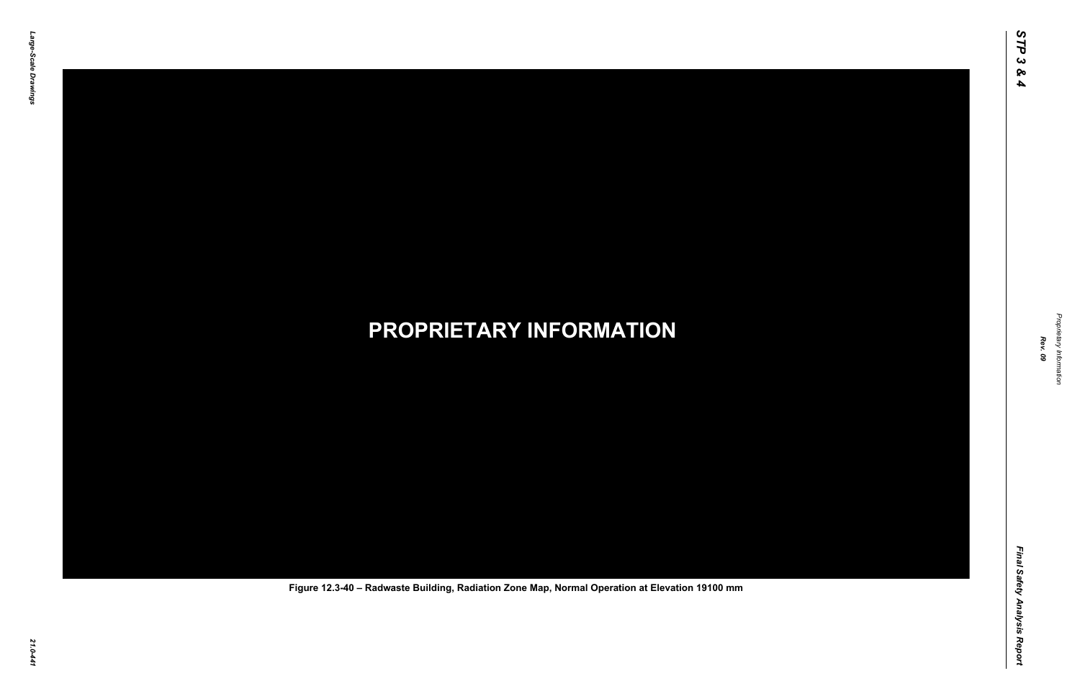

Proprietary Information *Proprietary Information*

## *21.0-441* **PROPRIETARY INFORMATION Figure 12.3-40 – Radwaste Building, Radiation Zone Map, Normal Operation at Elevation 19100 mm**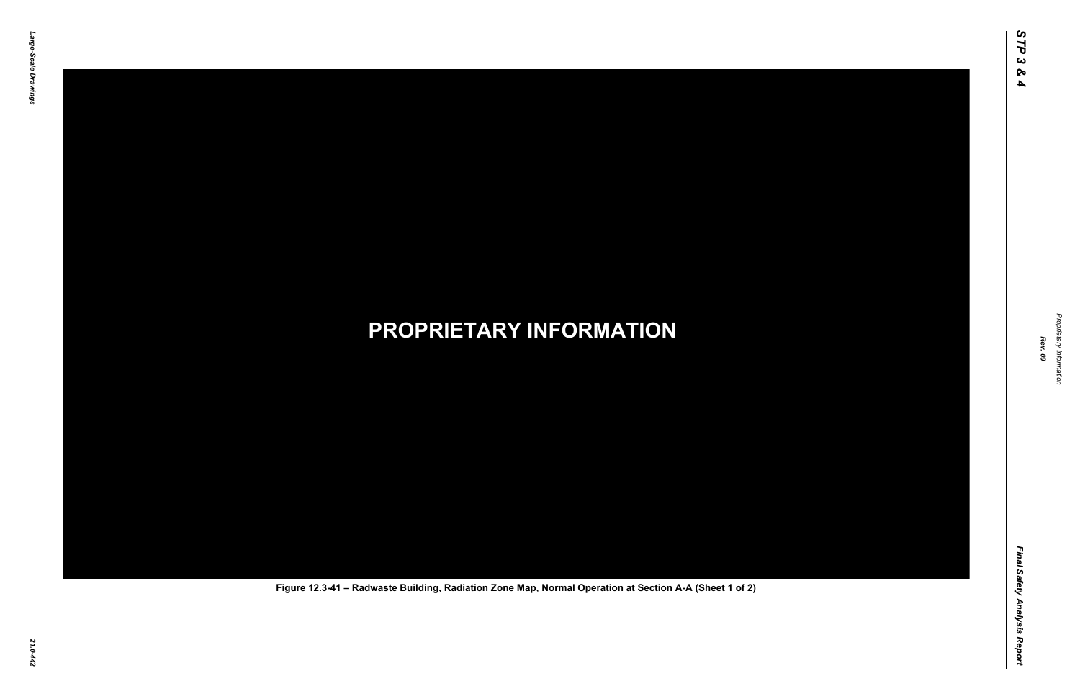

Proprietary Information *Proprietary Information*

## *21.0-442* **PROPRIETARY INFORMATION Figure 12.3-41 – Radwaste Building, Radiation Zone Map, Normal Operation at Section A-A (Sheet 1 of 2)**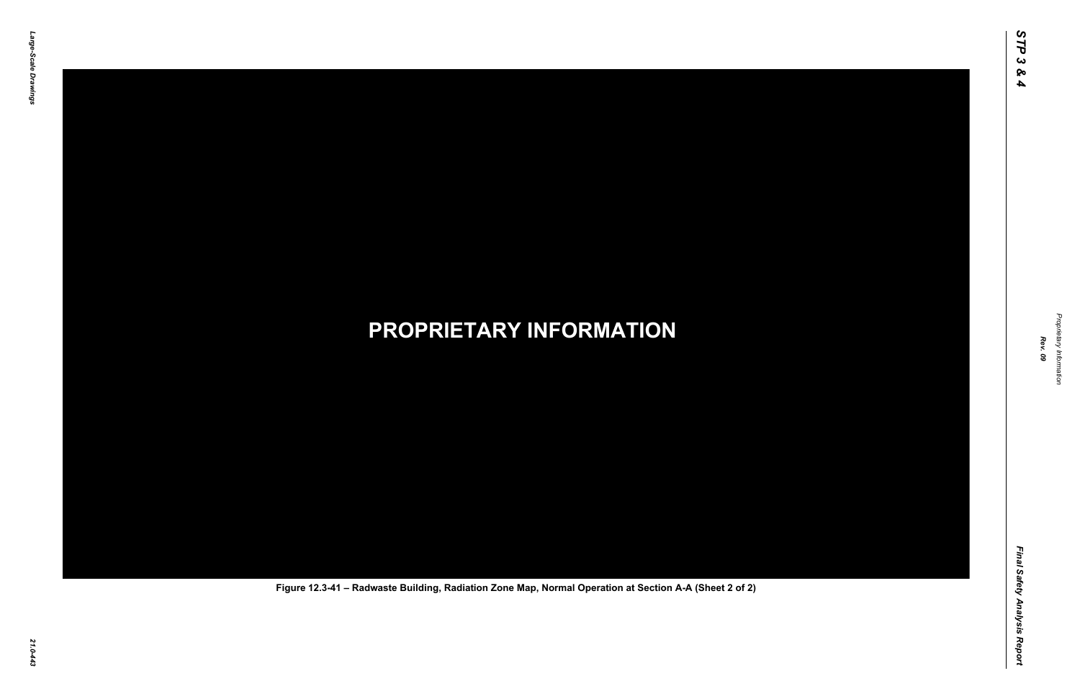

Proprietary Information *Proprietary Information*

## *21.0-443* **PROPRIETARY INFORMATION Figure 12.3-41 – Radwaste Building, Radiation Zone Map, Normal Operation at Section A-A (Sheet 2 of 2)**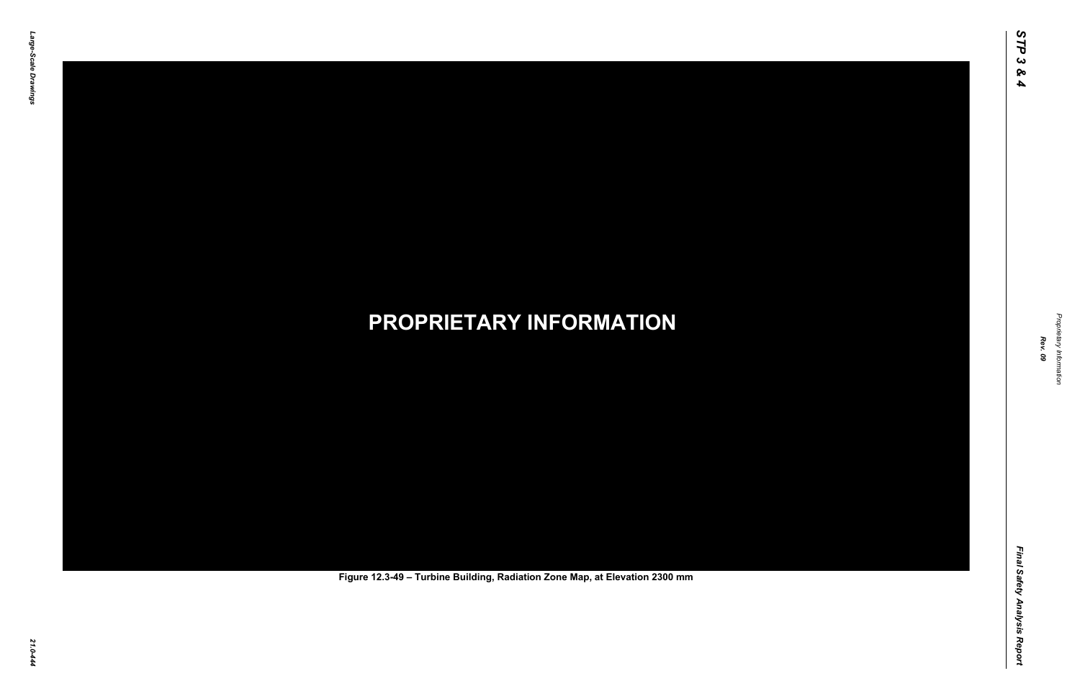

Proprietary Information *Proprietary Information*

# *21.0-444* **PROPRIETARY INFORMATION Figure 12.3-49 – Turbine Building, Radiation Zone Map, at Elevation 2300 mm**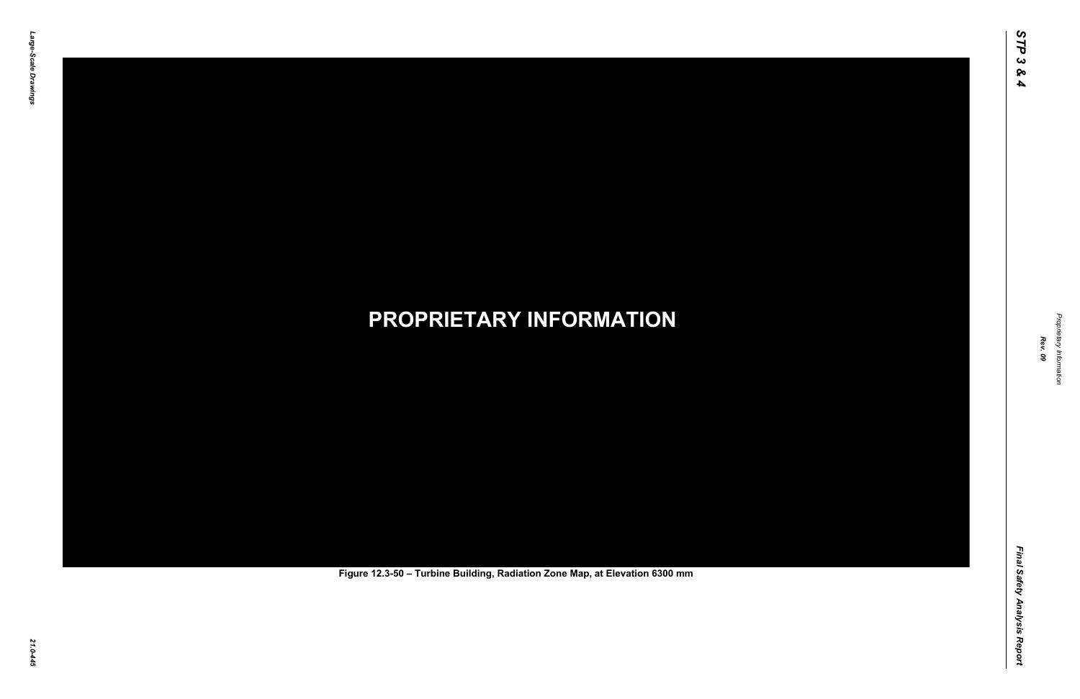Final Safety Analysis Report *Final Safety Analysis Report*



Proprietary Information *Proprietary Information*

# *21.0-445* **PROPRIETARY INFORMATION Figure 12.3-50 – Turbine Building, Radiation Zone Map, at Elevation 6300 mm**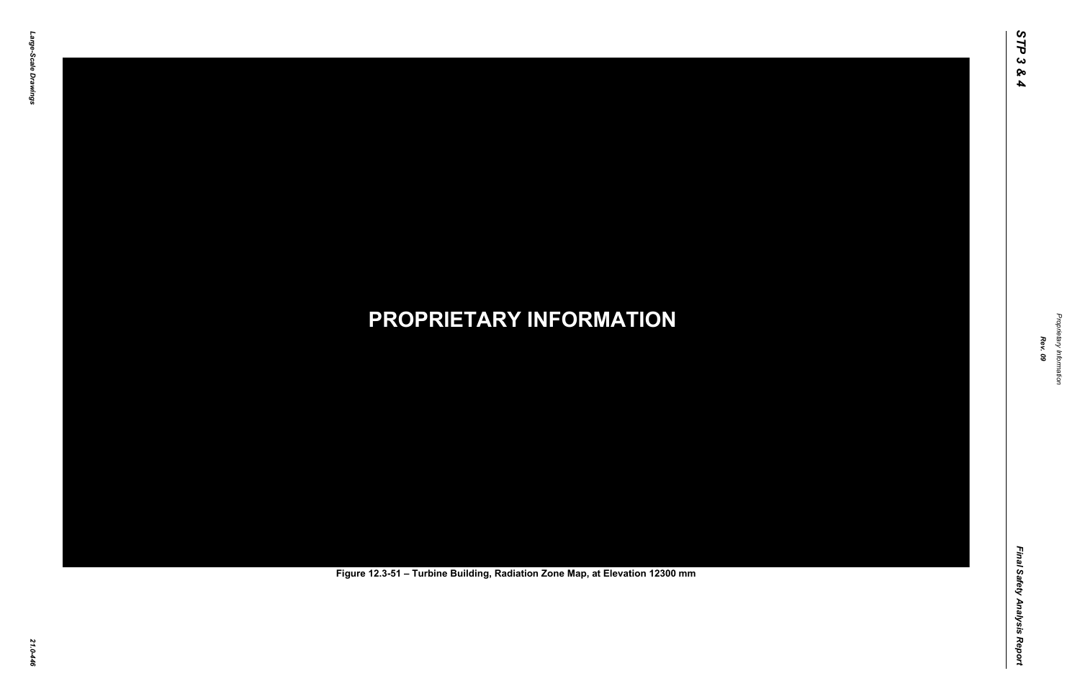Final Safety Analysis Report *Final Safety Analysis Report*



Proprietary Information *Proprietary Information*

# *21.0-446* **PROPRIETARY INFORMATION Figure 12.3-51 – Turbine Building, Radiation Zone Map, at Elevation 12300 mm**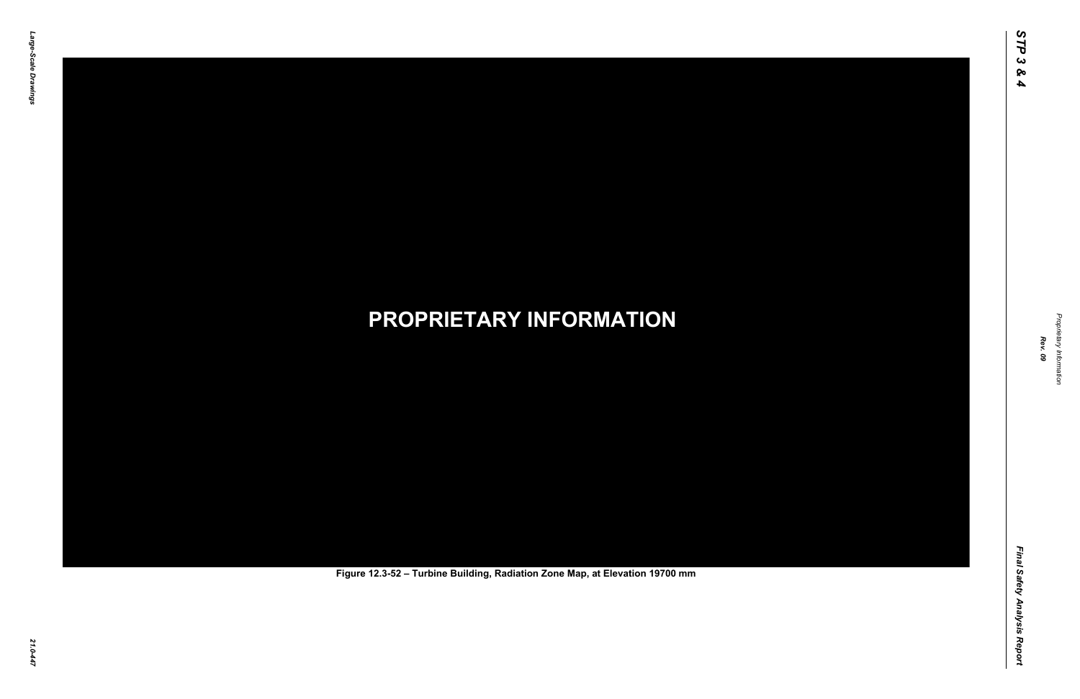Final Safety Analysis Report *Final Safety Analysis Report*



Proprietary Information *Proprietary Information*

# *21.0-447* **PROPRIETARY INFORMATION Figure 12.3-52 – Turbine Building, Radiation Zone Map, at Elevation 19700 mm**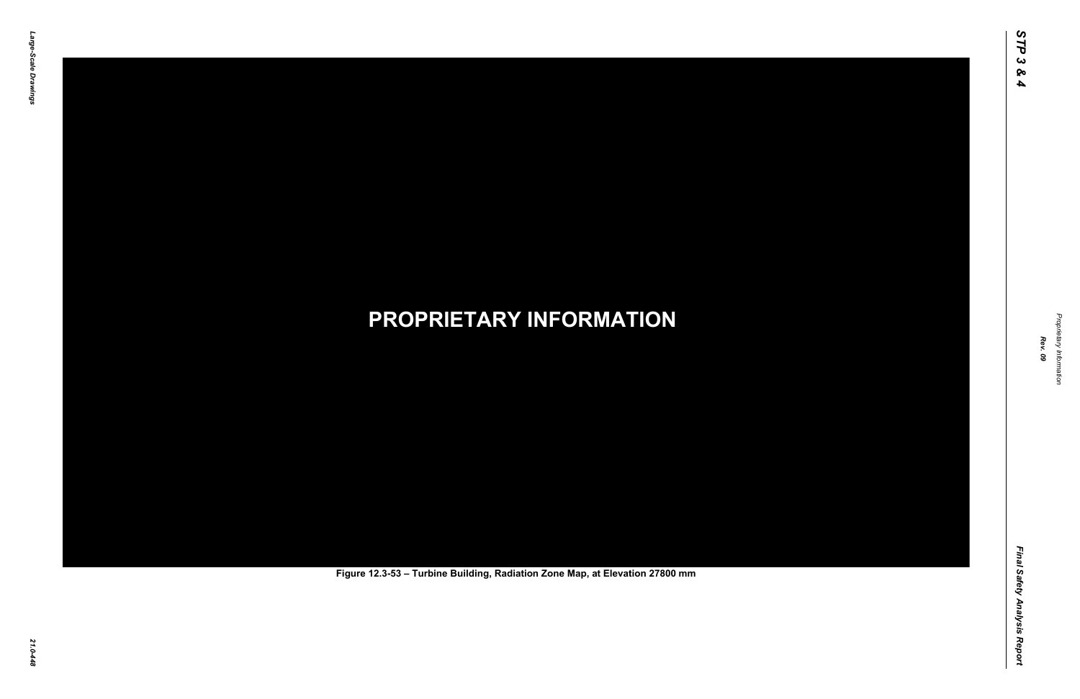Final Safety Analysis Report *Final Safety Analysis Report*



Proprietary Information *Proprietary Information*

# *21.0-448* **PROPRIETARY INFORMATION Figure 12.3-53 – Turbine Building, Radiation Zone Map, at Elevation 27800 mm**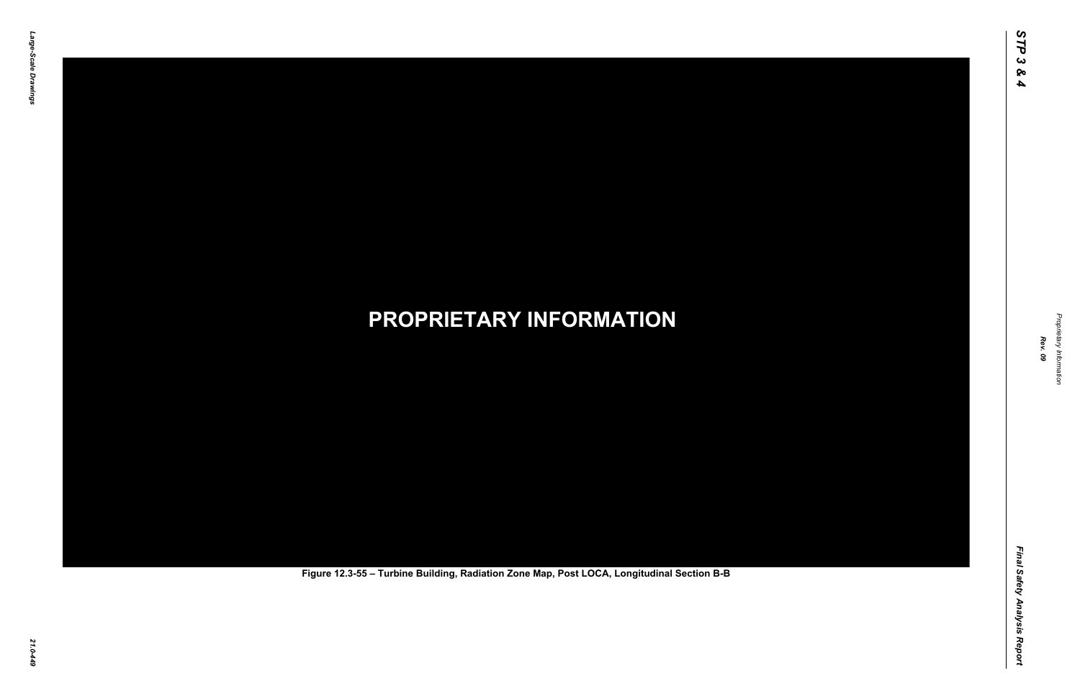Final Safety Analysis Report *Final Safety Analysis Report*



Proprietary Information *Proprietary Information*

# *21.0-449* **PROPRIETARY INFORMATION Figure 12.3-55 – Turbine Building, Radiation Zone Map, Post LOCA, Longitudinal Section B-B**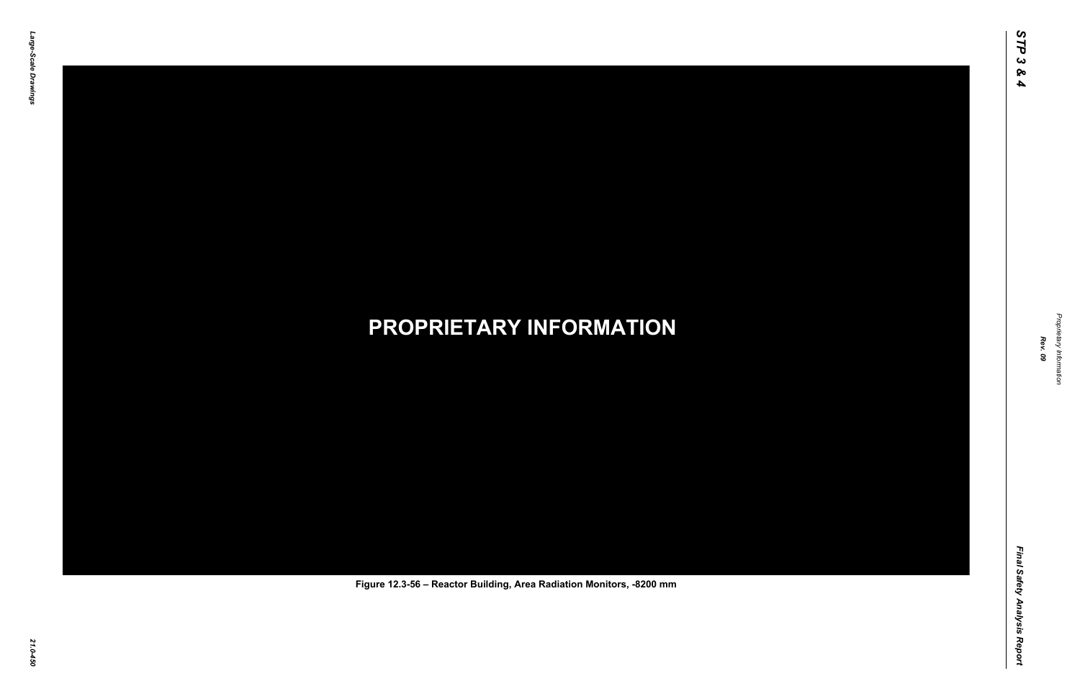Final Safety Analysis Report *Final Safety Analysis Report*



Proprietary Information *Proprietary Information*

## *21.0-450* **PROPRIETARY INFORMATION Figure 12.3-56 – Reactor Building, Area Radiation Monitors, -8200 mm**